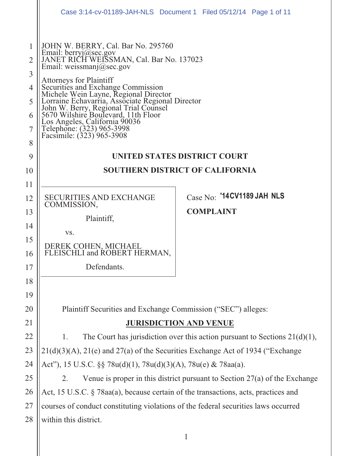|                                                   | Case 3:14-cv-01189-JAH-NLS Document 1 Filed 05/12/14 Page 1 of 11                                                                                                                                                                                                                                                                                                                                                                                  |                            |  |  |  |  |  |  |
|---------------------------------------------------|----------------------------------------------------------------------------------------------------------------------------------------------------------------------------------------------------------------------------------------------------------------------------------------------------------------------------------------------------------------------------------------------------------------------------------------------------|----------------------------|--|--|--|--|--|--|
| $\overline{2}$<br>3<br>4<br>5<br>6<br>7<br>8<br>9 | JOHN W. BERRY, Cal. Bar No. 295760<br>Email: berryj@sec.gov<br>JANET RICH WEISSMAN, Cal. Bar No. 137023<br>Email: weissmanj@sec.gov<br>Attorneys for Plaintiff<br>Auorneys for Plantiful<br>Securities and Exchange Commission<br>Michele Wein Layne, Regional Director<br>Lorraine Echavarria, Associate Regional Director<br>John W. Berry, Regional Trial Counsel<br>5670 Wilshire Boulevard, 11th Floor<br>Los<br>UNITED STATES DISTRICT COURT |                            |  |  |  |  |  |  |
| 10                                                | <b>SOUTHERN DISTRICT OF CALIFORNIA</b>                                                                                                                                                                                                                                                                                                                                                                                                             |                            |  |  |  |  |  |  |
| 11                                                |                                                                                                                                                                                                                                                                                                                                                                                                                                                    |                            |  |  |  |  |  |  |
| 12                                                | <b>SECURITIES AND EXCHANGE</b><br>COMMISSION,                                                                                                                                                                                                                                                                                                                                                                                                      | Case No: '14CV1189 JAH NLS |  |  |  |  |  |  |
| 13                                                | Plaintiff,                                                                                                                                                                                                                                                                                                                                                                                                                                         | <b>COMPLAINT</b>           |  |  |  |  |  |  |
| 14                                                | VS.                                                                                                                                                                                                                                                                                                                                                                                                                                                |                            |  |  |  |  |  |  |
| 15                                                |                                                                                                                                                                                                                                                                                                                                                                                                                                                    |                            |  |  |  |  |  |  |
| 16                                                | DEREK COHEN, MICHAEL<br>FLEISCHLI and ROBERT HERMAN,                                                                                                                                                                                                                                                                                                                                                                                               |                            |  |  |  |  |  |  |
| 17                                                | Defendants.                                                                                                                                                                                                                                                                                                                                                                                                                                        |                            |  |  |  |  |  |  |
| 18                                                |                                                                                                                                                                                                                                                                                                                                                                                                                                                    |                            |  |  |  |  |  |  |
| 19                                                |                                                                                                                                                                                                                                                                                                                                                                                                                                                    |                            |  |  |  |  |  |  |
| 20                                                | Plaintiff Securities and Exchange Commission ("SEC") alleges:                                                                                                                                                                                                                                                                                                                                                                                      |                            |  |  |  |  |  |  |
| 21                                                | <b>JURISDICTION AND VENUE</b>                                                                                                                                                                                                                                                                                                                                                                                                                      |                            |  |  |  |  |  |  |
| 22                                                | The Court has jurisdiction over this action pursuant to Sections $21(d)(1)$ ,<br>1.                                                                                                                                                                                                                                                                                                                                                                |                            |  |  |  |  |  |  |
| 23                                                | 21(d)(3)(A), 21(e) and 27(a) of the Securities Exchange Act of 1934 ("Exchange                                                                                                                                                                                                                                                                                                                                                                     |                            |  |  |  |  |  |  |
| 24                                                | Act"), 15 U.S.C. §§ 78u(d)(1), 78u(d)(3)(A), 78u(e) & 78aa(a).                                                                                                                                                                                                                                                                                                                                                                                     |                            |  |  |  |  |  |  |
| 25                                                | Venue is proper in this district pursuant to Section $27(a)$ of the Exchange<br>2.                                                                                                                                                                                                                                                                                                                                                                 |                            |  |  |  |  |  |  |
| 26                                                | Act, 15 U.S.C. § 78aa(a), because certain of the transactions, acts, practices and                                                                                                                                                                                                                                                                                                                                                                 |                            |  |  |  |  |  |  |
| 27                                                | courses of conduct constituting violations of the federal securities laws occurred                                                                                                                                                                                                                                                                                                                                                                 |                            |  |  |  |  |  |  |
| 28                                                | within this district.                                                                                                                                                                                                                                                                                                                                                                                                                              |                            |  |  |  |  |  |  |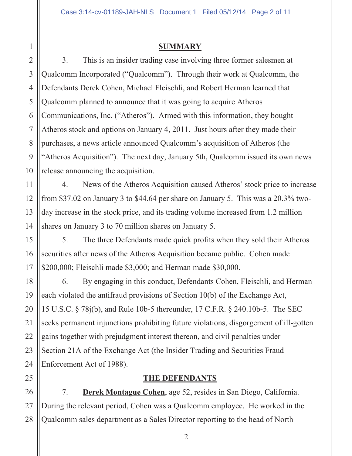#### **SUMMARY**

3. This is an insider trading case involving three former salesmen at Qualcomm Incorporated ("Qualcomm"). Through their work at Qualcomm, the Defendants Derek Cohen, Michael Fleischli, and Robert Herman learned that Qualcomm planned to announce that it was going to acquire Atheros Communications, Inc. ("Atheros"). Armed with this information, they bought Atheros stock and options on January 4, 2011. Just hours after they made their purchases, a news article announced Qualcomm's acquisition of Atheros (the "Atheros Acquisition"). The next day, January 5th, Qualcomm issued its own news release announcing the acquisition.

4. News of the Atheros Acquisition caused Atheros' stock price to increase from \$37.02 on January 3 to \$44.64 per share on January 5. This was a 20.3% twoday increase in the stock price, and its trading volume increased from 1.2 million shares on January 3 to 70 million shares on January 5.

5. The three Defendants made quick profits when they sold their Atheros securities after news of the Atheros Acquisition became public. Cohen made \$200,000; Fleischli made \$3,000; and Herman made \$30,000.

6. By engaging in this conduct, Defendants Cohen, Fleischli, and Herman each violated the antifraud provisions of Section 10(b) of the Exchange Act, 15 U.S.C. § 78j(b), and Rule 10b-5 thereunder, 17 C.F.R. § 240.10b-5. The SEC seeks permanent injunctions prohibiting future violations, disgorgement of ill-gotten gains together with prejudgment interest thereon, and civil penalties under Section 21A of the Exchange Act (the Insider Trading and Securities Fraud Enforcement Act of 1988).

### **THE DEFENDANTS**

7. **Derek Montague Cohen**, age 52, resides in San Diego, California. During the relevant period, Cohen was a Qualcomm employee. He worked in the Qualcomm sales department as a Sales Director reporting to the head of North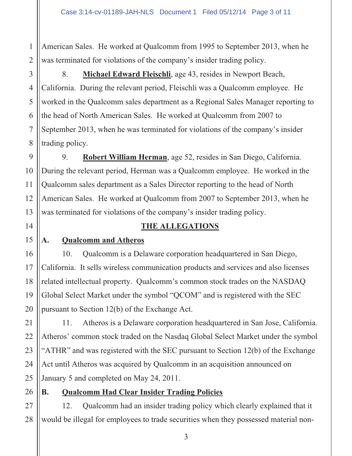1 2 American Sales. He worked at Qualcomm from 1995 to September 2013, when he was terminated for violations of the company's insider trading policy.

8. **Michael Edward Fleischli**, age 43, resides in Newport Beach, California. During the relevant period, Fleischli was a Qualcomm employee. He worked in the Qualcomm sales department as a Regional Sales Manager reporting to the head of North American Sales. He worked at Qualcomm from 2007 to September 2013, when he was terminated for violations of the company's insider trading policy.

9. **Robert William Herman**, age 52, resides in San Diego, California. During the relevant period, Herman was a Qualcomm employee. He worked in the Qualcomm sales department as a Sales Director reporting to the head of North American Sales. He worked at Qualcomm from 2007 to September 2013, when he was terminated for violations of the company's insider trading policy.

## **THE ALLEGATIONS**

## **A. Qualcomm and Atheros**

10. Qualcomm is a Delaware corporation headquartered in San Diego, California. It sells wireless communication products and services and also licenses related intellectual property. Qualcomm's common stock trades on the NASDAQ Global Select Market under the symbol "QCOM" and is registered with the SEC pursuant to Section 12(b) of the Exchange Act.

11. Atheros is a Delaware corporation headquartered in San Jose, California. Atheros' common stock traded on the Nasdaq Global Select Market under the symbol "ATHR" and was registered with the SEC pursuant to Section 12(b) of the Exchange Act until Atheros was acquired by Qualcomm in an acquisition announced on January 5 and completed on May 24, 2011.

## **B. Qualcomm Had Clear Insider Trading Policies**

28 12. Qualcomm had an insider trading policy which clearly explained that it would be illegal for employees to trade securities when they possessed material non-

3

4

5

6

7

8

9

10

11

12

13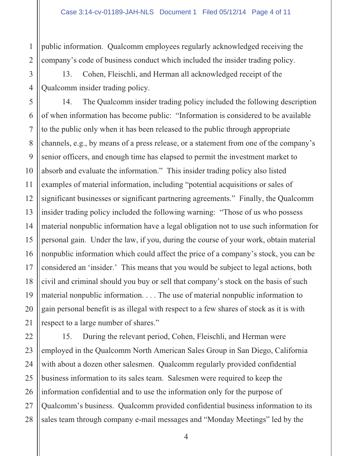1 public information. Qualcomm employees regularly acknowledged receiving the company's code of business conduct which included the insider trading policy.

13. Cohen, Fleischli, and Herman all acknowledged receipt of the Qualcomm insider trading policy.

14. The Qualcomm insider trading policy included the following description of when information has become public: "Information is considered to be available to the public only when it has been released to the public through appropriate channels, e.g., by means of a press release, or a statement from one of the company's senior officers, and enough time has elapsed to permit the investment market to absorb and evaluate the information." This insider trading policy also listed examples of material information, including "potential acquisitions or sales of significant businesses or significant partnering agreements." Finally, the Qualcomm insider trading policy included the following warning: "Those of us who possess material nonpublic information have a legal obligation not to use such information for personal gain. Under the law, if you, during the course of your work, obtain material nonpublic information which could affect the price of a company's stock, you can be considered an 'insider.' This means that you would be subject to legal actions, both civil and criminal should you buy or sell that company's stock on the basis of such material nonpublic information. . . . The use of material nonpublic information to gain personal benefit is as illegal with respect to a few shares of stock as it is with respect to a large number of shares."

15. During the relevant period, Cohen, Fleischli, and Herman were employed in the Qualcomm North American Sales Group in San Diego, California with about a dozen other salesmen. Qualcomm regularly provided confidential business information to its sales team. Salesmen were required to keep the information confidential and to use the information only for the purpose of Qualcomm's business. Qualcomm provided confidential business information to its sales team through company e-mail messages and "Monday Meetings" led by the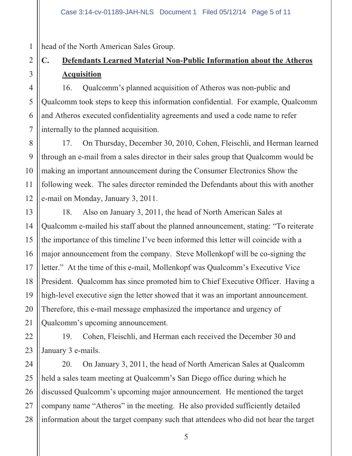head of the North American Sales Group.

# **C. Defendants Learned Material Non-Public Information about the Atheros Acquisition**

16. Qualcomm's planned acquisition of Atheros was non-public and Qualcomm took steps to keep this information confidential. For example, Qualcomm and Atheros executed confidentiality agreements and used a code name to refer internally to the planned acquisition.

17. On Thursday, December 30, 2010, Cohen, Fleischli, and Herman learned through an e-mail from a sales director in their sales group that Qualcomm would be making an important announcement during the Consumer Electronics Show the following week. The sales director reminded the Defendants about this with another e-mail on Monday, January 3, 2011.

18. Also on January 3, 2011, the head of North American Sales at Qualcomm e-mailed his staff about the planned announcement, stating: "To reiterate the importance of this timeline I've been informed this letter will coincide with a major announcement from the company. Steve Mollenkopf will be co-signing the letter." At the time of this e-mail, Mollenkopf was Qualcomm's Executive Vice President. Qualcomm has since promoted him to Chief Executive Officer. Having a high-level executive sign the letter showed that it was an important announcement. Therefore, this e-mail message emphasized the importance and urgency of Qualcomm's upcoming announcement.

19. Cohen, Fleischli, and Herman each received the December 30 and January 3 e-mails.

20. On January 3, 2011, the head of North American Sales at Qualcomm held a sales team meeting at Qualcomm's San Diego office during which he discussed Qualcomm's upcoming major announcement. He mentioned the target company name "Atheros" in the meeting. He also provided sufficiently detailed information about the target company such that attendees who did not hear the target

1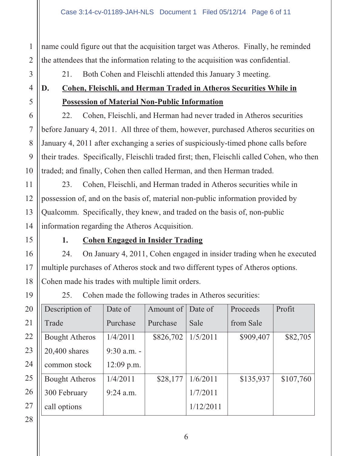name could figure out that the acquisition target was Atheros. Finally, he reminded the attendees that the information relating to the acquisition was confidential.

1

2

3

4

5

6

7

8

9

10

11

12

13

14

15

16

17

18

19

21. Both Cohen and Fleischli attended this January 3 meeting.

# **D. Cohen, Fleischli, and Herman Traded in Atheros Securities While in Possession of Material Non-Public Information**

22. Cohen, Fleischli, and Herman had never traded in Atheros securities before January 4, 2011. All three of them, however, purchased Atheros securities on January 4, 2011 after exchanging a series of suspiciously-timed phone calls before their trades. Specifically, Fleischli traded first; then, Fleischli called Cohen, who then traded; and finally, Cohen then called Herman, and then Herman traded.

23. Cohen, Fleischli, and Herman traded in Atheros securities while in possession of, and on the basis of, material non-public information provided by Qualcomm. Specifically, they knew, and traded on the basis of, non-public information regarding the Atheros Acquisition.

## **1. Cohen Engaged in Insider Trading**

24. On January 4, 2011, Cohen engaged in insider trading when he executed multiple purchases of Atheros stock and two different types of Atheros options. Cohen made his trades with multiple limit orders.

25. Cohen made the following trades in Atheros securities:

| 20 | Description of        | Date of     | Amount of | Date of   | Proceeds  | Profit    |
|----|-----------------------|-------------|-----------|-----------|-----------|-----------|
| 21 | Trade                 | Purchase    | Purchase  | Sale      | from Sale |           |
| 22 | <b>Bought Atheros</b> | 1/4/2011    | \$826,702 | 1/5/2011  | \$909,407 | \$82,705  |
| 23 | 20,400 shares         | 9:30 a.m. - |           |           |           |           |
| 24 | common stock          | 12:09 p.m.  |           |           |           |           |
| 25 | <b>Bought Atheros</b> | 1/4/2011    | \$28,177  | 1/6/2011  | \$135,937 | \$107,760 |
| 26 | 300 February          | $9:24$ a.m. |           | 1/7/2011  |           |           |
| 27 | call options          |             |           | 1/12/2011 |           |           |
|    |                       |             |           |           |           |           |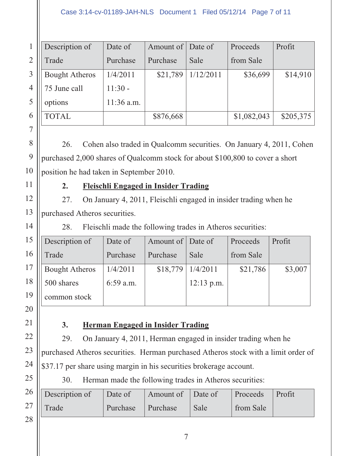#### Case 3:14-cv-01189-JAH-NLS Document 1 Filed 05/12/14 Page 7 of 11

|   | Description of        | Date of    | Amount of Date of |           | Proceeds    | Profit    |
|---|-----------------------|------------|-------------------|-----------|-------------|-----------|
|   | Trade                 | Purchase   | Purchase          | Sale      | from Sale   |           |
| 3 | <b>Bought Atheros</b> | 1/4/2011   | \$21,789          | 1/12/2011 | \$36,699    | \$14,910  |
| 4 | 75 June call          | $11:30 -$  |                   |           |             |           |
|   | options               | 11:36 a.m. |                   |           |             |           |
| 6 | <b>TOTAL</b>          |            | \$876,668         |           | \$1,082,043 | \$205,375 |

26. Cohen also traded in Qualcomm securities. On January 4, 2011, Cohen purchased 2,000 shares of Qualcomm stock for about \$100,800 to cover a short position he had taken in September 2010.

### **2. Fleischli Engaged in Insider Trading**

27. On January 4, 2011, Fleischli engaged in insider trading when he purchased Atheros securities.

28. Fleischli made the following trades in Atheros securities:

| 15 | Description of        | Date of   | Amount of Date of |              | Proceeds  | Profit  |
|----|-----------------------|-----------|-------------------|--------------|-----------|---------|
| 16 | Trade                 | Purchase  | Purchase          | Sale         | from Sale |         |
| 17 | <b>Bought Atheros</b> | 1/4/2011  | \$18,779          | 1/4/2011     | \$21,786  | \$3,007 |
| 18 | 500 shares            | 6:59 a.m. |                   | $12:13$ p.m. |           |         |
| 19 | common stock          |           |                   |              |           |         |

20

21

22

23

24

25

## **3. Herman Engaged in Insider Trading**

29. On January 4, 2011, Herman engaged in insider trading when he

purchased Atheros securities. Herman purchased Atheros stock with a limit order of \$37.17 per share using margin in his securities brokerage account.

30. Herman made the following trades in Atheros securities:

|          | $26$ Description of | Date of           | Amount of Date of |      | Proceeds Profit |  |
|----------|---------------------|-------------------|-------------------|------|-----------------|--|
|          | $27$ Trade          | Purchase Purchase |                   | Sale | from Sale       |  |
| $\Omega$ |                     |                   |                   |      |                 |  |

13

14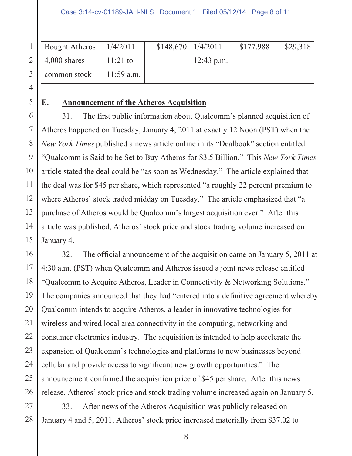| 1    Bought Atheros $ 1/4/2011$ |              | $$148,670 \mid 1/4/2011$ |              | \$177,988 | \$29,318 |
|---------------------------------|--------------|--------------------------|--------------|-----------|----------|
| 2    $4,000$ shares             | $11:21$ to   |                          | $12:43$ p.m. |           |          |
| 3    common stock               | $11:59$ a.m. |                          |              |           |          |

## **E. Announcement of the Atheros Acquisition**

31. The first public information about Qualcomm's planned acquisition of Atheros happened on Tuesday, January 4, 2011 at exactly 12 Noon (PST) when the *New York Times* published a news article online in its "Dealbook" section entitled "Qualcomm is Said to be Set to Buy Atheros for \$3.5 Billion." This *New York Times*  article stated the deal could be "as soon as Wednesday." The article explained that the deal was for \$45 per share, which represented "a roughly 22 percent premium to where Atheros' stock traded midday on Tuesday." The article emphasized that "a purchase of Atheros would be Qualcomm's largest acquisition ever." After this article was published, Atheros' stock price and stock trading volume increased on January 4.

32. The official announcement of the acquisition came on January 5, 2011 at 4:30 a.m. (PST) when Qualcomm and Atheros issued a joint news release entitled "Qualcomm to Acquire Atheros, Leader in Connectivity & Networking Solutions." The companies announced that they had "entered into a definitive agreement whereby Qualcomm intends to acquire Atheros, a leader in innovative technologies for wireless and wired local area connectivity in the computing, networking and consumer electronics industry. The acquisition is intended to help accelerate the expansion of Qualcomm's technologies and platforms to new businesses beyond cellular and provide access to significant new growth opportunities." The announcement confirmed the acquisition price of \$45 per share. After this news release, Atheros' stock price and stock trading volume increased again on January 5.

33. After news of the Atheros Acquisition was publicly released on January 4 and 5, 2011, Atheros' stock price increased materially from \$37.02 to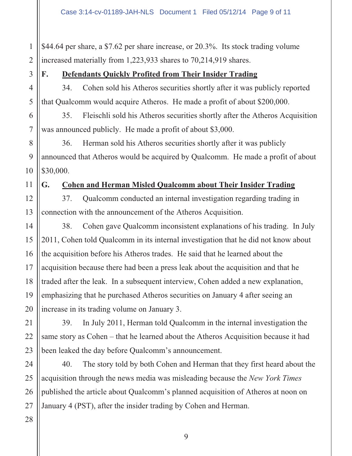1 2 \$44.64 per share, a \$7.62 per share increase, or 20.3%. Its stock trading volume increased materially from 1,223,933 shares to 70,214,919 shares.

3

4

5

6

7

8

9

10

11

15

17

18

21

22

23

25

## **F. Defendants Quickly Profited from Their Insider Trading**

34. Cohen sold his Atheros securities shortly after it was publicly reported that Qualcomm would acquire Atheros. He made a profit of about \$200,000.

35. Fleischli sold his Atheros securities shortly after the Atheros Acquisition was announced publicly. He made a profit of about \$3,000.

36. Herman sold his Atheros securities shortly after it was publicly announced that Atheros would be acquired by Qualcomm. He made a profit of about \$30,000.

## **G. Cohen and Herman Misled Qualcomm about Their Insider Trading**

12 13 37. Qualcomm conducted an internal investigation regarding trading in connection with the announcement of the Atheros Acquisition.

14 16 19 20 38. Cohen gave Qualcomm inconsistent explanations of his trading. In July 2011, Cohen told Qualcomm in its internal investigation that he did not know about the acquisition before his Atheros trades. He said that he learned about the acquisition because there had been a press leak about the acquisition and that he traded after the leak. In a subsequent interview, Cohen added a new explanation, emphasizing that he purchased Atheros securities on January 4 after seeing an increase in its trading volume on January 3.

39. In July 2011, Herman told Qualcomm in the internal investigation the same story as Cohen – that he learned about the Atheros Acquisition because it had been leaked the day before Qualcomm's announcement.

24 26 40. The story told by both Cohen and Herman that they first heard about the acquisition through the news media was misleading because the *New York Times*  published the article about Qualcomm's planned acquisition of Atheros at noon on January 4 (PST), after the insider trading by Cohen and Herman.

28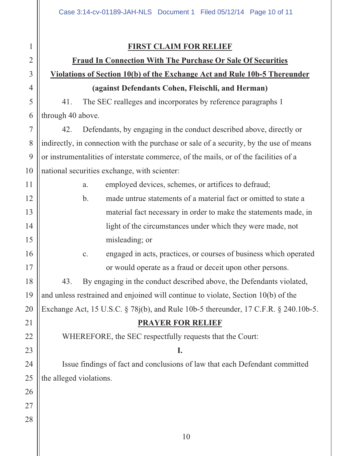#### **FIRST CLAIM FOR RELIEF**

# **Fraud In Connection With The Purchase Or Sale Of Securities Violations of Section 10(b) of the Exchange Act and Rule 10b-5 Thereunder (against Defendants Cohen, Fleischli, and Herman)**

41. The SEC realleges and incorporates by reference paragraphs 1 through 40 above.

42. Defendants, by engaging in the conduct described above, directly or indirectly, in connection with the purchase or sale of a security, by the use of means or instrumentalities of interstate commerce, of the mails, or of the facilities of a national securities exchange, with scienter:

> a. employed devices, schemes, or artifices to defraud; b. made untrue statements of a material fact or omitted to state a material fact necessary in order to make the statements made, in light of the circumstances under which they were made, not

misleading; or

c. engaged in acts, practices, or courses of business which operated or would operate as a fraud or deceit upon other persons.

43. By engaging in the conduct described above, the Defendants violated, and unless restrained and enjoined will continue to violate, Section 10(b) of the Exchange Act, 15 U.S.C. § 78j(b), and Rule 10b-5 thereunder, 17 C.F.R. § 240.10b-5.

### **PRAYER FOR RELIEF**

WHEREFORE, the SEC respectfully requests that the Court:

#### **I.**

Issue findings of fact and conclusions of law that each Defendant committed the alleged violations.